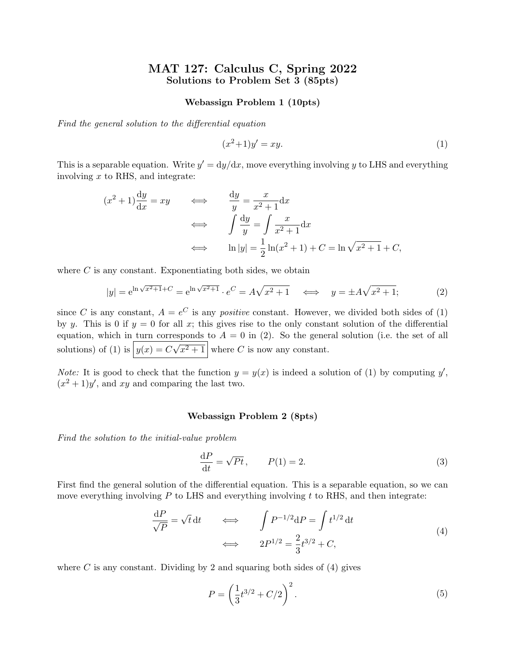# MAT 127: Calculus C, Spring 2022 Solutions to Problem Set 3 (85pts)

## Webassign Problem 1 (10pts)

Find the general solution to the differential equation

$$
(x^2+1)y' = xy.\t\t(1)
$$

This is a separable equation. Write  $y' = dy/dx$ , move everything involving y to LHS and everything involving  $x$  to RHS, and integrate:

$$
(x^{2}+1)\frac{dy}{dx} = xy \qquad \Longleftrightarrow \qquad \frac{dy}{y} = \frac{x}{x^{2}+1}dx
$$

$$
\Longleftrightarrow \qquad \int \frac{dy}{y} = \int \frac{x}{x^{2}+1}dx
$$

$$
\Longleftrightarrow \qquad \ln|y| = \frac{1}{2}\ln(x^{2}+1) + C = \ln\sqrt{x^{2}+1} + C,
$$

where  $C$  is any constant. Exponentiating both sides, we obtain

$$
|y| = e^{\ln \sqrt{x^2 + 1}} + C = e^{\ln \sqrt{x^2 + 1}} \cdot e^C = A\sqrt{x^2 + 1} \iff y = \pm A\sqrt{x^2 + 1};
$$
 (2)

since C is any constant,  $A = e^C$  is any *positive* constant. However, we divided both sides of (1) by y. This is 0 if  $y = 0$  for all x; this gives rise to the only constant solution of the differential equation, which in turn corresponds to  $A = 0$  in (2). So the general solution (i.e. the set of all solutions) of (1) is  $y(x) = C\sqrt{x^2 + 1}$  where C is now any constant.

*Note:* It is good to check that the function  $y = y(x)$  is indeed a solution of (1) by computing y',  $(x^2+1)y'$ , and xy and comparing the last two.

## Webassign Problem 2 (8pts)

Find the solution to the initial-value problem

$$
\frac{\mathrm{d}P}{\mathrm{d}t} = \sqrt{Pt}, \qquad P(1) = 2. \tag{3}
$$

First find the general solution of the differential equation. This is a separable equation, so we can move everything involving  $P$  to LHS and everything involving  $t$  to RHS, and then integrate:

$$
\frac{dP}{\sqrt{P}} = \sqrt{t} dt \qquad \Longleftrightarrow \qquad \int P^{-1/2} dP = \int t^{1/2} dt
$$
\n
$$
\Longleftrightarrow \qquad 2P^{1/2} = \frac{2}{3}t^{3/2} + C,
$$
\n(4)

where C is any constant. Dividing by 2 and squaring both sides of  $(4)$  gives

$$
P = \left(\frac{1}{3}t^{3/2} + C/2\right)^2.
$$
\n(5)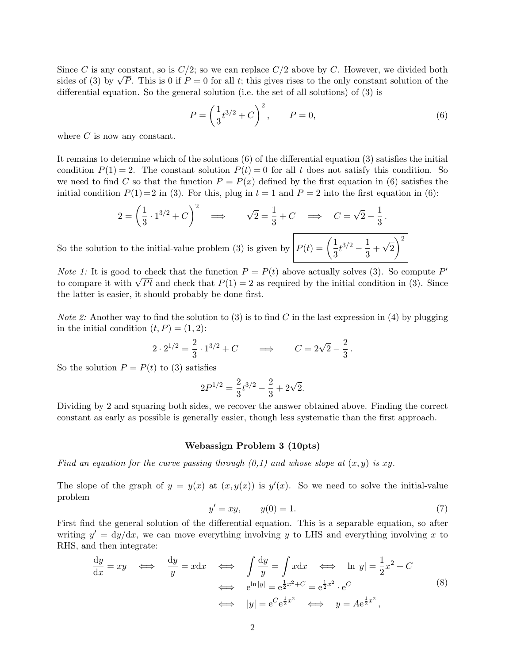Since C is any constant, so is  $C/2$ ; so we can replace  $C/2$  above by C. However, we divided both sides of (3) by  $\sqrt{P}$ . This is 0 if  $P = 0$  for all t; this gives rises to the only constant solution of the differential equation. So the general solution (i.e. the set of all solutions) of (3) is

$$
P = \left(\frac{1}{3}t^{3/2} + C\right)^2, \qquad P = 0,
$$
\n(6)

where  $C$  is now any constant.

It remains to determine which of the solutions (6) of the differential equation (3) satisfies the initial condition  $P(1) = 2$ . The constant solution  $P(t) = 0$  for all t does not satisfy this condition. So we need to find C so that the function  $P = P(x)$  defined by the first equation in (6) satisfies the initial condition  $P(1)=2$  in (3). For this, plug in  $t = 1$  and  $P = 2$  into the first equation in (6):

$$
2 = \left(\frac{1}{3} \cdot 1^{3/2} + C\right)^2 \implies \sqrt{2} = \frac{1}{3} + C \implies C = \sqrt{2} - \frac{1}{3}.
$$
  
So the solution to the initial-value problem (3) is given by 
$$
P(t) = \left(\frac{1}{3}t^{3/2} - \frac{1}{3} + \sqrt{2}\right)^2
$$

*Note 1:* It is good to check that the function  $P = P(t)$  above actually solves (3). So compute P' to compare it with  $\sqrt{Pt}$  and check that  $P(1) = 2$  as required by the initial condition in (3). Since the latter is easier, it should probably be done first.

*Note 2:* Another way to find the solution to (3) is to find C in the last expression in (4) by plugging in the initial condition  $(t, P) = (1, 2)$ :

$$
2 \cdot 2^{1/2} = \frac{2}{3} \cdot 1^{3/2} + C \qquad \Longrightarrow \qquad C = 2\sqrt{2} - \frac{2}{3} \, .
$$

So the solution  $P = P(t)$  to (3) satisfies

$$
2P^{1/2} = \frac{2}{3}t^{3/2} - \frac{2}{3} + 2\sqrt{2}.
$$

Dividing by 2 and squaring both sides, we recover the answer obtained above. Finding the correct constant as early as possible is generally easier, though less systematic than the first approach.

### Webassign Problem 3 (10pts)

Find an equation for the curve passing through  $(0,1)$  and whose slope at  $(x, y)$  is xy.

The slope of the graph of  $y = y(x)$  at  $(x, y(x))$  is  $y'(x)$ . So we need to solve the initial-value problem

$$
y' = xy, \t y(0) = 1.
$$
\t(7)

First find the general solution of the differential equation. This is a separable equation, so after writing  $y' = dy/dx$ , we can move everything involving y to LHS and everything involving x to RHS, and then integrate:

$$
\frac{dy}{dx} = xy \iff \frac{dy}{y} = x dx \iff \int \frac{dy}{y} = \int x dx \iff \ln|y| = \frac{1}{2}x^2 + C
$$
  

$$
\iff e^{\ln|y|} = e^{\frac{1}{2}x^2 + C} = e^{\frac{1}{2}x^2} \cdot e^C
$$
  

$$
\iff |y| = e^C e^{\frac{1}{2}x^2} \iff y = Ae^{\frac{1}{2}x^2},
$$
\n(8)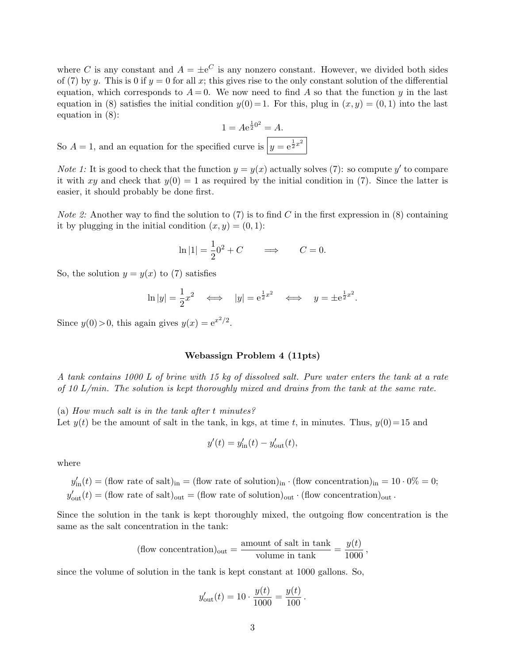where C is any constant and  $A = \pm e^C$  is any nonzero constant. However, we divided both sides of (7) by y. This is 0 if  $y = 0$  for all x; this gives rise to the only constant solution of the differential equation, which corresponds to  $A = 0$ . We now need to find A so that the function y in the last equation in (8) satisfies the initial condition  $y(0) = 1$ . For this, plug in  $(x, y) = (0, 1)$  into the last equation in (8):

$$
1 = Ae^{\frac{1}{2}0^2} = A.
$$
  
field curve is  $y = e^{\frac{1}{2}x^2}$ 

So  $A = 1$ , and an equation for the speci-

*Note 1*: It is good to check that the function  $y = y(x)$  actually solves (7): so compute y' to compare it with xy and check that  $y(0) = 1$  as required by the initial condition in (7). Since the latter is easier, it should probably be done first.

*Note 2:* Another way to find the solution to (7) is to find C in the first expression in (8) containing it by plugging in the initial condition  $(x, y) = (0, 1)$ :

$$
\ln|1| = \frac{1}{2}0^2 + C \qquad \Longrightarrow \qquad C = 0.
$$

So, the solution  $y = y(x)$  to (7) satisfies

$$
\ln|y| = \frac{1}{2}x^2 \iff |y| = e^{\frac{1}{2}x^2} \iff y = \pm e^{\frac{1}{2}x^2}.
$$

Since  $y(0) > 0$ , this again gives  $y(x) = e^{x^2/2}$ .

## Webassign Problem 4 (11pts)

A tank contains 1000 L of brine with 15 kg of dissolved salt. Pure water enters the tank at a rate of 10 L/min. The solution is kept thoroughly mixed and drains from the tank at the same rate.

(a) How much salt is in the tank after t minutes?

Let  $y(t)$  be the amount of salt in the tank, in kgs, at time t, in minutes. Thus,  $y(0)=15$  and

$$
y'(t) = y'_{\text{in}}(t) - y'_{\text{out}}(t),
$$

where

 $y'_{\rm in}(t) = (\text{flow rate of salt})_{\rm in} = (\text{flow rate of solution})_{\rm in} \cdot (\text{flow concentration})_{\rm in} = 10 \cdot 0\% = 0;$  $y'_{\text{out}}(t) = (\text{flow rate of salt})_{\text{out}} = (\text{flow rate of solution})_{\text{out}} \cdot (\text{flow concentration})_{\text{out}}.$ 

Since the solution in the tank is kept thoroughly mixed, the outgoing flow concentration is the same as the salt concentration in the tank:

(flow concentration)<sub>out</sub> = 
$$
\frac{\text{amount of salt in tank}}{\text{volume in tank}} = \frac{y(t)}{1000}
$$
,

since the volume of solution in the tank is kept constant at 1000 gallons. So,

$$
y'_{\text{out}}(t) = 10 \cdot \frac{y(t)}{1000} = \frac{y(t)}{100}
$$

.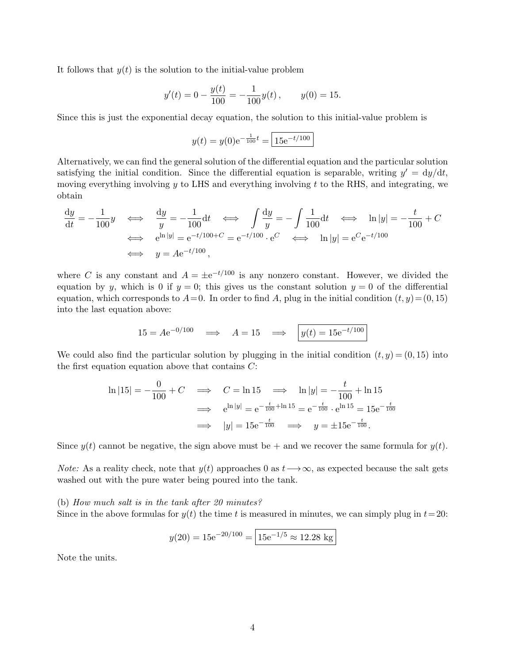It follows that  $y(t)$  is the solution to the initial-value problem

$$
y'(t) = 0 - \frac{y(t)}{100} = -\frac{1}{100}y(t)
$$
,  $y(0) = 15$ .

Since this is just the exponential decay equation, the solution to this initial-value problem is

$$
y(t) = y(0)e^{-\frac{1}{100}t} = \boxed{15e^{-t/100}}
$$

Alternatively, we can find the general solution of the differential equation and the particular solution satisfying the initial condition. Since the differential equation is separable, writing  $y' = dy/dt$ , moving everything involving  $y$  to LHS and everything involving  $t$  to the RHS, and integrating, we obtain

$$
\frac{dy}{dt} = -\frac{1}{100}y \quad \Longleftrightarrow \quad \frac{dy}{y} = -\frac{1}{100}dt \quad \Longleftrightarrow \quad \int \frac{dy}{y} = -\int \frac{1}{100}dt \quad \Longleftrightarrow \quad \ln|y| = -\frac{t}{100} + C
$$
\n
$$
\Longleftrightarrow \quad e^{\ln|y|} = e^{-t/100 + C} = e^{-t/100} \cdot e^C \quad \Longleftrightarrow \quad \ln|y| = e^C e^{-t/100}
$$
\n
$$
\Longleftrightarrow \quad y = A e^{-t/100},
$$

where C is any constant and  $A = \pm e^{-t/100}$  is any nonzero constant. However, we divided the equation by y, which is 0 if  $y = 0$ ; this gives us the constant solution  $y = 0$  of the differential equation, which corresponds to  $A = 0$ . In order to find A, plug in the initial condition  $(t, y) = (0, 15)$ into the last equation above:

$$
15 = Ae^{-0/100} \implies A = 15 \implies y(t) = 15e^{-t/100}
$$

We could also find the particular solution by plugging in the initial condition  $(t, y) = (0, 15)$  into the first equation equation above that contains  $C$ :

$$
\ln|15| = -\frac{0}{100} + C \implies C = \ln 15 \implies \ln|y| = -\frac{t}{100} + \ln 15
$$
  

$$
\implies e^{\ln|y|} = e^{-\frac{t}{100} + \ln 15} = e^{-\frac{t}{100}} \cdot e^{\ln 15} = 15e^{-\frac{t}{100}}
$$
  

$$
\implies |y| = 15e^{-\frac{t}{100}} \implies y = \pm 15e^{-\frac{t}{100}}.
$$

Since  $y(t)$  cannot be negative, the sign above must be + and we recover the same formula for  $y(t)$ .

*Note:* As a reality check, note that  $y(t)$  approaches 0 as  $t\rightarrow\infty$ , as expected because the salt gets washed out with the pure water being poured into the tank.

(b) How much salt is in the tank after 20 minutes?

Since in the above formulas for  $y(t)$  the time t is measured in minutes, we can simply plug in  $t=20$ :

$$
y(20) = 15e^{-20/100} = \boxed{15e^{-1/5} \approx 12.28 \text{ kg}}
$$

Note the units.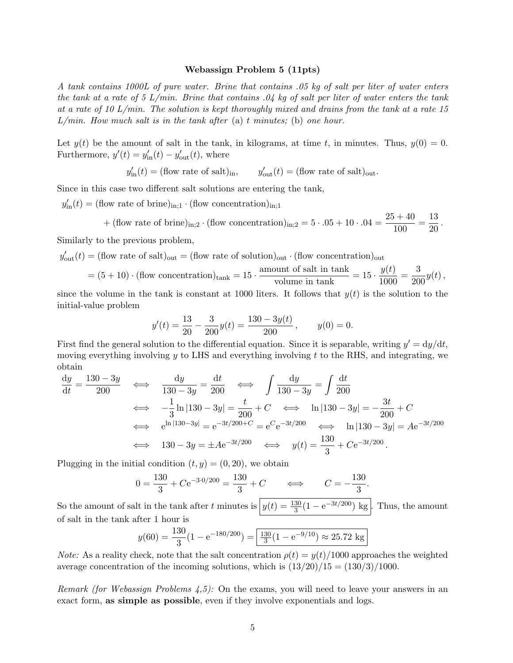#### Webassign Problem 5 (11pts)

A tank contains 1000L of pure water. Brine that contains .05 kg of salt per liter of water enters the tank at a rate of 5  $L/min$ . Brine that contains  $.04$  kg of salt per liter of water enters the tank at a rate of 10 L/min. The solution is kept thoroughly mixed and drains from the tank at a rate 15  $L/min$ . How much salt is in the tank after (a) t minutes; (b) one hour.

Let  $y(t)$  be the amount of salt in the tank, in kilograms, at time t, in minutes. Thus,  $y(0) = 0$ . Furthermore,  $y'(t) = y'_{\text{in}}(t) - y'_{\text{out}}(t)$ , where

$$
y'_{\rm in}(t)
$$
 = (flow rate of salt)<sub>in</sub>,  $y'_{\rm out}(t)$  = (flow rate of salt)<sub>out</sub>.

Since in this case two different salt solutions are entering the tank,

 $y'_{\text{in}}(t) = (\text{flow rate of brine})_{\text{in};1} \cdot (\text{flow concentration})_{\text{in};1}$ 

+ (flow rate of brine)<sub>in;2</sub> · (flow concentration)<sub>in;2</sub> = 
$$
5 \cdot .05 + 10 \cdot .04 = \frac{25 + 40}{100} = \frac{13}{20}
$$
.

Similarly to the previous problem,

$$
y'_{\text{out}}(t)
$$
 = (flow rate of salt)<sub>out</sub> = (flow rate of solution)<sub>out</sub> (flow concentration)<sub>out</sub>

$$
= (5+10) \cdot (\text{flow concentration})_{\text{tank}} = 15 \cdot \frac{\text{amount of salt in tank}}{\text{volume in tank}} = 15 \cdot \frac{y(t)}{1000} = \frac{3}{200}y(t),
$$

since the volume in the tank is constant at 1000 liters. It follows that  $y(t)$  is the solution to the initial-value problem

$$
y'(t) = \frac{13}{20} - \frac{3}{200}y(t) = \frac{130 - 3y(t)}{200}, \qquad y(0) = 0.
$$

First find the general solution to the differential equation. Since it is separable, writing  $y' = dy/dt$ , moving everything involving y to LHS and everything involving t to the RHS, and integrating, we obtain

$$
\frac{dy}{dt} = \frac{130 - 3y}{200} \iff \frac{dy}{130 - 3y} = \frac{dt}{200} \iff \int \frac{dy}{130 - 3y} = \int \frac{dt}{200}
$$
  

$$
\iff -\frac{1}{3} \ln |130 - 3y| = \frac{t}{200} + C \iff \ln |130 - 3y| = -\frac{3t}{200} + C
$$
  

$$
\iff e^{\ln |130 - 3y|} = e^{-3t/200 + C} = e^C e^{-3t/200} \iff \ln |130 - 3y| = A e^{-3t/200}
$$
  

$$
\iff 130 - 3y = \pm A e^{-3t/200} \iff y(t) = \frac{130}{3} + C e^{-3t/200}.
$$

Plugging in the initial condition  $(t, y) = (0, 20)$ , we obtain

$$
0 = \frac{130}{3} + Ce^{-3.0/200} = \frac{130}{3} + C \qquad \Longleftrightarrow \qquad C = -\frac{130}{3}.
$$

So the amount of salt in the tank after t minutes is  $y(t) = \frac{130}{3}(1 - e^{-3t/200}) \text{ kg}$ . Thus, the amount of salt in the tank after 1 hour is

$$
y(60) = \frac{130}{3} (1 - e^{-180/200}) = \boxed{\frac{130}{3} (1 - e^{-9/10}) \approx 25.72 \text{ kg}}
$$

*Note:* As a reality check, note that the salt concentration  $\rho(t) = y(t)/1000$  approaches the weighted average concentration of the incoming solutions, which is  $(13/20)/15 = (130/3)/1000$ .

Remark (for Webassign Problems  $(4,5)$ ): On the exams, you will need to leave your answers in an exact form, as simple as possible, even if they involve exponentials and logs.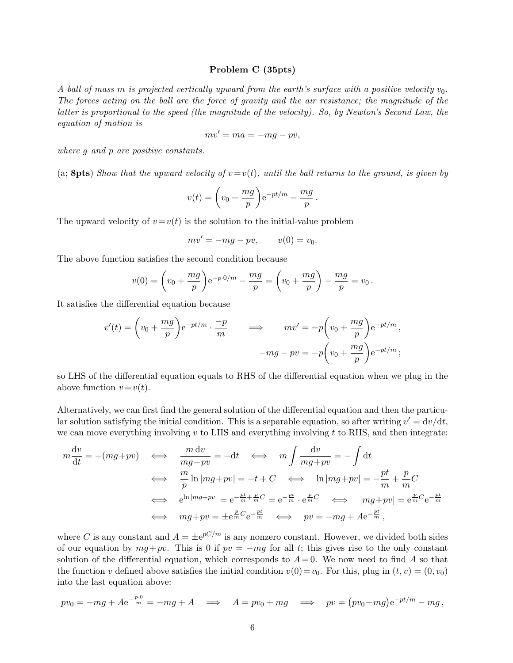## Problem C (35pts)

A ball of mass m is projected vertically upward from the earth's surface with a positive velocity  $v_0$ . The forces acting on the ball are the force of gravity and the air resistance; the magnitude of the latter is proportional to the speed (the magnitude of the velocity). So, by Newton's Second Law, the equation of motion is

$$
mv' = ma = -mg - pv,
$$

where g and p are positive constants.

(a; 8pts) Show that the upward velocity of  $v=v(t)$ , until the ball returns to the ground, is given by

$$
v(t) = \left(v_0 + \frac{mg}{p}\right)e^{-pt/m} - \frac{mg}{p}
$$

.

The upward velocity of  $v=v(t)$  is the solution to the initial-value problem

$$
mv' = -mg - pv, \qquad v(0) = v_0.
$$

The above function satisfies the second condition because

$$
v(0) = \left(v_0 + \frac{mg}{p}\right) e^{-p \cdot 0/m} - \frac{mg}{p} = \left(v_0 + \frac{mg}{p}\right) - \frac{mg}{p} = v_0.
$$

It satisfies the differential equation because

$$
v'(t) = \left(v_0 + \frac{mg}{p}\right) e^{-pt/m} \cdot \frac{-p}{m} \qquad \Longrightarrow \qquad mv' = -p\left(v_0 + \frac{mg}{p}\right) e^{-pt/m},
$$

$$
-mg - pv = -p\left(v_0 + \frac{mg}{p}\right) e^{-pt/m};
$$

so LHS of the differential equation equals to RHS of the differential equation when we plug in the above function  $v=v(t)$ .

Alternatively, we can first find the general solution of the differential equation and then the particular solution satisfying the initial condition. This is a separable equation, so after writing  $v' = dv/dt$ , we can move everything involving  $v$  to LHS and everything involving  $t$  to RHS, and then integrate:

$$
m\frac{dv}{dt} = -(mg+pv) \iff \frac{m dv}{mg+pv} = -dt \iff m\int \frac{dv}{mg+pv} = -\int dt
$$
  

$$
\iff \frac{m}{p}\ln |mg+pv| = -t + C \iff \ln |mg+pv| = -\frac{pt}{m} + \frac{p}{m}C
$$
  

$$
\iff e^{\ln |mg+pv|} = e^{-\frac{pt}{m} + \frac{p}{m}C} = e^{-\frac{pt}{m} \cdot e^{\frac{p}{m}C}} \iff |mg+pv| = e^{\frac{p}{m}C}e^{-\frac{pt}{m}}
$$
  

$$
\iff mg+pv = \pm e^{\frac{p}{m}C}e^{-\frac{pt}{m}} \iff pv = -mg + Ae^{-\frac{pt}{m}},
$$

where C is any constant and  $A = \pm e^{pC/m}$  is any nonzero constant. However, we divided both sides of our equation by  $mg+pv$ . This is 0 if  $pv = -mg$  for all t; this gives rise to the only constant solution of the differential equation, which corresponds to  $A = 0$ . We now need to find A so that the function v defined above satisfies the initial condition  $v(0)=v_0$ . For this, plug in  $(t, v) = (0, v_0)$ into the last equation above:

$$
pv_0 = -mg + Ae^{-\frac{p\cdot 0}{m}} = -mg + A \implies A = pv_0 + mg \implies pv = (pv_0 + mg)e^{-pt/m} - mg,
$$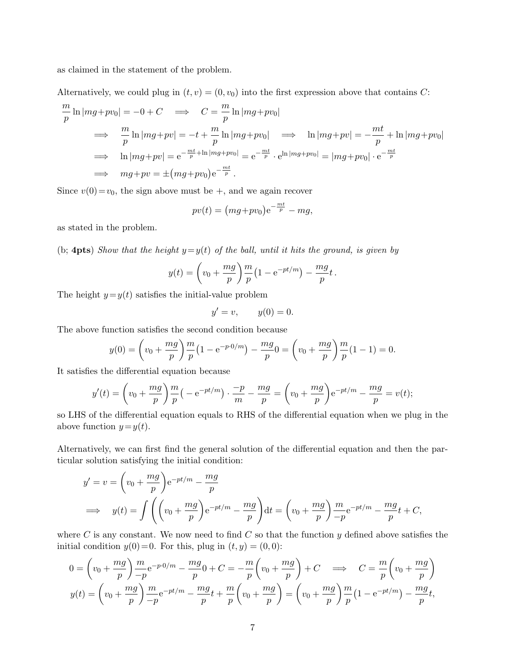as claimed in the statement of the problem.

Alternatively, we could plug in  $(t, v) = (0, v_0)$  into the first expression above that contains C:

$$
\frac{m}{p}\ln |mg+pv_0| = -0 + C \implies C = \frac{m}{p}\ln |mg+pv_0|
$$
  
\n
$$
\implies \frac{m}{p}\ln |mg+pv| = -t + \frac{m}{p}\ln |mg+pv_0| \implies \ln |mg+pv| = -\frac{mt}{p} + \ln |mg+pv_0|
$$
  
\n
$$
\implies \ln |mg+pv| = e^{-\frac{mt}{p} + \ln |mg+pv_0|} = e^{-\frac{mt}{p}} \cdot e^{\ln |mg+pv_0|} = |mg+pv_0| \cdot e^{-\frac{mt}{p}}
$$
  
\n
$$
\implies mg+pv = \pm (mg+pv_0)e^{-\frac{mt}{p}}.
$$

Since  $v(0) = v_0$ , the sign above must be  $+$ , and we again recover

$$
pv(t) = (mg+pv_0)e^{-\frac{mt}{p}} - mg,
$$

as stated in the problem.

(b; 4pts) Show that the height  $y=y(t)$  of the ball, until it hits the ground, is given by

$$
y(t) = \left(v_0 + \frac{mg}{p}\right)\frac{m}{p}\left(1 - e^{-pt/m}\right) - \frac{mg}{p}t.
$$

The height  $y=y(t)$  satisfies the initial-value problem

$$
y' = v, \qquad y(0) = 0.
$$

The above function satisfies the second condition because

$$
y(0) = \left(v_0 + \frac{mg}{p}\right)\frac{m}{p}\left(1 - e^{-p\cdot 0/m}\right) - \frac{mg}{p}0 = \left(v_0 + \frac{mg}{p}\right)\frac{m}{p}\left(1 - 1\right) = 0.
$$

It satisfies the differential equation because

$$
y'(t) = \left(v_0 + \frac{mg}{p}\right)\frac{m}{p}\left(-e^{-pt/m}\right)\cdot\frac{-p}{m} - \frac{mg}{p} = \left(v_0 + \frac{mg}{p}\right)e^{-pt/m} - \frac{mg}{p} = v(t);
$$

so LHS of the differential equation equals to RHS of the differential equation when we plug in the above function  $y=y(t)$ .

Alternatively, we can first find the general solution of the differential equation and then the particular solution satisfying the initial condition:

$$
y' = v = \left(v_0 + \frac{mg}{p}\right)e^{-pt/m} - \frac{mg}{p}
$$
  
\n
$$
\implies y(t) = \int \left(\left(v_0 + \frac{mg}{p}\right)e^{-pt/m} - \frac{mg}{p}\right)dt = \left(v_0 + \frac{mg}{p}\right)\frac{m}{-p}e^{-pt/m} - \frac{mg}{p}t + C,
$$

where C is any constant. We now need to find C so that the function  $y$  defined above satisfies the initial condition  $y(0)=0$ . For this, plug in  $(t, y) = (0, 0)$ :

$$
0 = \left(v_0 + \frac{mg}{p}\right)\frac{m}{-p}e^{-p\cdot 0/m} - \frac{mg}{p}0 + C = -\frac{m}{p}\left(v_0 + \frac{mg}{p}\right) + C \implies C = \frac{m}{p}\left(v_0 + \frac{mg}{p}\right)
$$
  

$$
y(t) = \left(v_0 + \frac{mg}{p}\right)\frac{m}{-p}e^{-pt/m} - \frac{mg}{p}t + \frac{m}{p}\left(v_0 + \frac{mg}{p}\right) = \left(v_0 + \frac{mg}{p}\right)\frac{m}{p}\left(1 - e^{-pt/m}\right) - \frac{mg}{p}t,
$$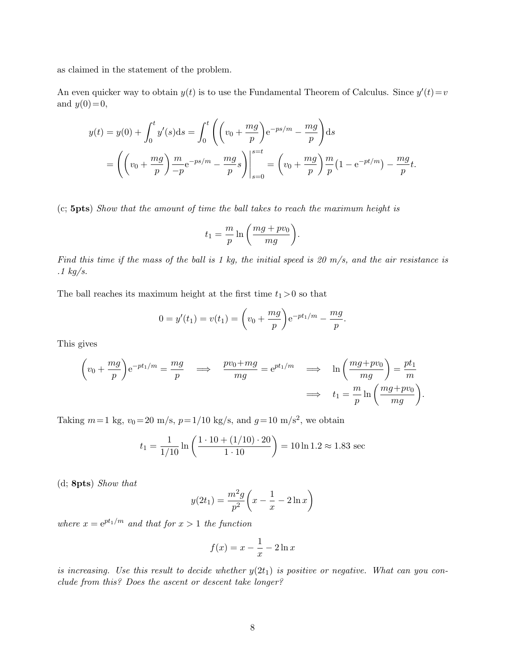as claimed in the statement of the problem.

An even quicker way to obtain  $y(t)$  is to use the Fundamental Theorem of Calculus. Since  $y'(t) = v$ and  $y(0)=0$ ,

$$
y(t) = y(0) + \int_0^t y'(s)ds = \int_0^t \left( \left( v_0 + \frac{mg}{p} \right) e^{-ps/m} - \frac{mg}{p} \right) ds
$$
  
=  $\left( \left( v_0 + \frac{mg}{p} \right) \frac{m}{-p} e^{-ps/m} - \frac{mg}{p} s \right) \Big|_{s=0}^{s=t} = \left( v_0 + \frac{mg}{p} \right) \frac{m}{p} (1 - e^{-pt/m}) - \frac{mg}{p} t.$ 

(c; 5pts) Show that the amount of time the ball takes to reach the maximum height is

$$
t_1 = \frac{m}{p} \ln \left( \frac{mg + pv_0}{mg} \right).
$$

Find this time if the mass of the ball is 1 kg, the initial speed is 20  $m/s$ , and the air resistance is  $.1 \text{ kg/s}.$ 

The ball reaches its maximum height at the first time  $t_1 > 0$  so that

$$
0 = y'(t_1) = v(t_1) = \left(v_0 + \frac{mg}{p}\right) e^{-pt_1/m} - \frac{mg}{p}.
$$

This gives

$$
\left(v_0 + \frac{mg}{p}\right)e^{-pt_1/m} = \frac{mg}{p} \quad \Longrightarrow \quad \frac{pv_0 + mg}{mg} = e^{pt_1/m} \quad \Longrightarrow \quad \ln\left(\frac{mg + pv_0}{mg}\right) = \frac{pt_1}{m}
$$
\n
$$
\Longrightarrow \quad t_1 = \frac{m}{p}\ln\left(\frac{mg + pv_0}{mg}\right).
$$

Taking  $m=1$  kg,  $v_0 = 20$  m/s,  $p=1/10$  kg/s, and  $g=10$  m/s<sup>2</sup>, we obtain

$$
t_1 = \frac{1}{1/10} \ln \left( \frac{1 \cdot 10 + (1/10) \cdot 20}{1 \cdot 10} \right) = 10 \ln 1.2 \approx 1.83 \text{ sec}
$$

(d; 8pts) Show that

$$
y(2t_1) = \frac{m^2 g}{p^2} \left( x - \frac{1}{x} - 2 \ln x \right)
$$

where  $x = e^{pt_1/m}$  and that for  $x > 1$  the function

$$
f(x) = x - \frac{1}{x} - 2\ln x
$$

is increasing. Use this result to decide whether  $y(2t_1)$  is positive or negative. What can you conclude from this? Does the ascent or descent take longer?